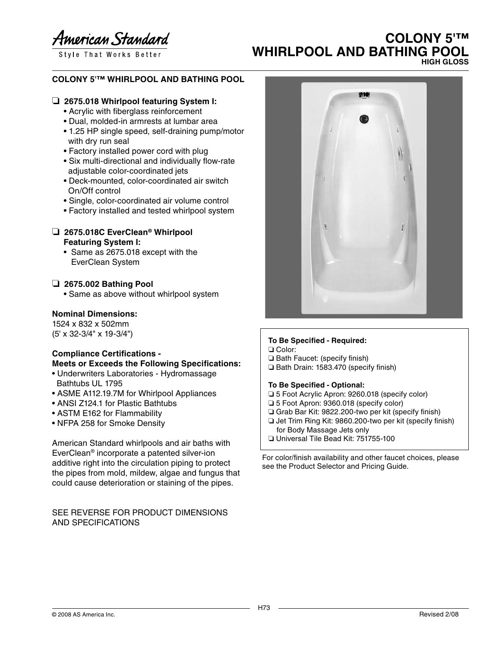American Standard

Style That Works Better

# **COLONY 5'™ WHIRLPOOL AND BATHING POOL HIGH GLOSS**

## **COLONY 5'™ WHIRLPOOL AND BATHING POOL**

## ❏ **2675.018 Whirlpool featuring System I:**

- Acrylic with fiberglass reinforcement
- Dual, molded-in armrests at lumbar area
- 1.25 HP single speed, self-draining pump/motor with dry run seal
- Factory installed power cord with plug
- Six multi-directional and individually flow-rate adjustable color-coordinated jets
- Deck-mounted, color-coordinated air switch On/Off control
- Single, color-coordinated air volume control
- Factory installed and tested whirlpool system

### ❏ **2675.018C EverClean® Whirlpool Featuring System I:**

• Same as 2675.018 except with the EverClean System

## ❏ **2675.002 Bathing Pool**

• Same as above without whirlpool system

### **Nominal Dimensions:**

1524 x 832 x 502mm (5' x 32-3/4" x 19-3/4")

## **Compliance Certifications - Meets or Exceeds the Following Specifications:**

- Underwriters Laboratories Hydromassage Bathtubs UL 1795
- ASME A112.19.7M for Whirlpool Appliances
- ANSI Z124.1 for Plastic Bathtubs
- ASTM E162 for Flammability
- NFPA 258 for Smoke Density

American Standard whirlpools and air baths with EverClean® incorporate a patented silver-ion additive right into the circulation piping to protect the pipes from mold, mildew, algae and fungus that could cause deterioration or staining of the pipes.

### SEE REVERSE FOR PRODUCT DIMENSIONS AND SPECIFICATIONS



## **To Be Specified - Required:**

❏ Color:

- ❏ Bath Faucet: (specify finish)
- ❏ Bath Drain: 1583.470 (specify finish)

#### **To Be Specified - Optional:**

- ❏ 5 Foot Acrylic Apron: 9260.018 (specify color)
- ❏ 5 Foot Apron: 9360.018 (specify color)
- ❏ Grab Bar Kit: 9822.200-two per kit (specify finish)
- ❏ Jet Trim Ring Kit: 9860.200-two per kit (specify finish) for Body Massage Jets only
- ❏ Universal Tile Bead Kit: 751755-100

For color/finish availability and other faucet choices, please see the Product Selector and Pricing Guide.